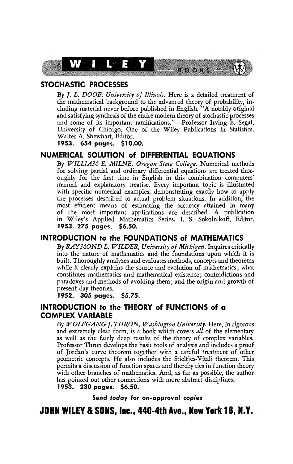

# **STOCHASTIC PROCESSES**

By **ƒ.** *L. DO OB, University of Illinois.* Here is a detailed treatment of the mathematical background to the advanced theory of probability, including material never before published in English. "A notably original and satisfying synthesis of the entire modern theory of stochastic processes and some of its important ramifications/'—Professor Irving E. Segal, University of Chicago. One of the Wiley Publications in Statistics. Walter A. Shewhart, Editor.

**1953. 654 pages. \$10.00.** 

### **NUMERICAL SOLUTION of DIFFERENTIAL EQUATIONS**

By *WILLIAM E. MILNE, Oregon State College.* Numerical methods for solving partial and ordinary differential equations are treated thoroughly for the first time in English in this combination computers' manual and explanatory treatise. Every important topic is illustrated with specific numerical examples, demonstrating exactly how to apply the processes described to actual problem situations. In addition, the most efficient means of estimating the accuracy attained in many of the most important applications are described. A publication in Wiley's Applied Mathematics Series. I. S. Sokolnikofï, Editor. **1953. 275 pages. \$6.50.** 

## **INTRODUCTION to the FOUNDATIONS of MATHEMATICS**

By *RAYMOND L. WILDER, University of Michigan.* Inquires critically into the nature of mathematics and the foundations upon which *it* is built. Thoroughly analyzes and evaluates methods, concepts and theorems while it clearly explains the source and evolution of mathematics; what constitutes mathematics and mathematical existence; contradictions and paradoxes and methods of avoiding them ; and the origin and growth of present day theories.

**1952. 305 pages. \$5.75.** 

## **INTRODUCTION to the THEORY of FUNCTIONS of a COMPLEX VARIABLE**

By *WOLFGANG J. THRON, Washington University.* Here, in rigorous and extremely clear form, is a book which covers *all* of the elementary as well as the fairly deep results of the theory of complex variables. Professor Thron develops the basic tools of analysis and includes a proof of Jordan's curve theorem together with a careful treatment of other geometric concepts. He also includes the Stieltjes-Vitali theorem. This permits a discussion of function spaces and thereby ties in function theory with other branches of mathematics. And, as far as possible, the author has pointed out other connections with more abstract disciplines. **1953. 230 pages. \$6.50.** 

**Send today for on-approvaf copies** 

# **JOHN WILEY & SONS, Inc., 440-4th Ave., New York 16, N.Y.**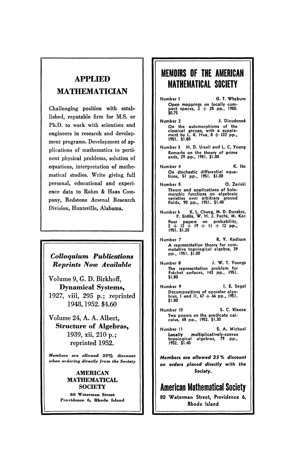# **APPLIED MATHEMATICIAN**

Challenging position with established, reputable firm for M.S. or Ph.D. to work with scientists and engineers in research and development programs. Development of applications of mathematics to pertinent physical problems, solution of equations, interpretation of mathematical studies. Write giving full personal, educational and experience data to Rohm & Haas Company, Redstone Arsenal Research Division, Huntsville, Alabama.

# *Colloquium Publications Reprints Now Available*

Volume 9, G. D. Birkhoff, **Dynamical** Systems, 1927, viii, 295 p.; reprinted 1948,1952. \$4.60

Volume 24, A. A. Albert, **Structure of Algebras,**  1939, xii, 210 p.; reprinted 1952.

*Members are allowed 25^/o discount when ordering directly from the Society* 

#### **AMERICAN MATHEMATICAL SOCIETY**

**80 Waterman Street Providence 6, Rhode Island** 

# **MEMOIRS OF THE AMERICAN MATHEMATICAL SOCIETY**

- Number I G. T. Whyburn Open mappings on locally com-pact spaces, 2 + 25 pp., 1950. \$0.75
- Number 2 J. Dieudonné On the automorphisms of the classical groups, with a supple-ment by L. K. Hua, 8 + 122 pp., 1951. \$1.80
- Number 3 H. D. Ursell and L. C. Young Remarks on the theory of prime ends, 29 pp., 1951. \$1.00
- Number 4 K. Ito On stochastic differential equa-tions, 51 pp., 1951. \$1.00
- Number 5 O. Zariski Theory and applications of holo-morphic functions on algebraic varieties over arbitrary ground fields, 90 pp., 1951. \$1.40
- Number 6 K. L. Chung, M. D. Donsker, P. Erdös, W. H. J. Fuchs, M. Kac Four papers on probability, 2 + 12 + 19 + II + 12 pp., 1951. \$1.20
- Number 7 R. V. Kadison A representation theory for com-mutative topological algebra, 39 pp., 1951. \$1.00
- Number 8 J. W. T. Youngs The representation problem for Fréchet surfaces, 143 pp., 1951. \$1.80
- Number 9 I. E. Segal Decompositions of operator alge-bras, I and II, 67 + 66 pp., 1951. \$1.80
- Number 10 S. C. Kleene Two papers on the predicate cal-culus, 68 pp., 1952. \$1.30
- Number II E. A. Michael **Locally** multiplicatively-convex topological algebras, 79 pp., 1952. \$1.40

**Members are allowed 25 % discount on orders placed directly** with **the Society,** 

**American Mathematical Society 80 Waterman Street, Providence 6, Rhode Island**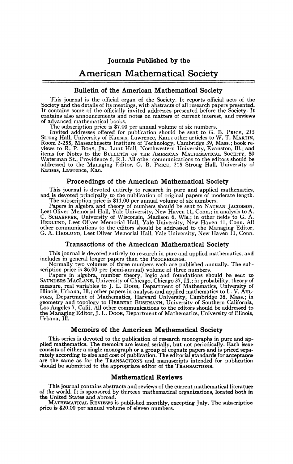# American Mathematical Society

### Bulletin of the American Mathematical Society

This journal is the official organ of the Society. It reports official acts of the Society and the details of its meetings, with abstracts of all research papers presented.<br>It contains some of the officially invited addresses presented before the Society. It contains also announcements and notes on matters of current interest, and reviews of advanced mathematical books.

The subscription price is \$7.00 per annual volume of six numbers.

Invited addresses offered for publication should be sent to G. B. PRICE, 215 Strong Hall, University of Kansas, Lawrence, Kan.; other articles to W. T. MARTIN, Room 2-255, Massachusetts Institute of Technology, Cambridge 39, Mass.; book reviews to R. P. BoAs, JR., Lunt Hall, Northwestern University Kansas, Lawrence, Kan,,

#### Proceedings of the American Mathematical Society

This journal is devoted entirely to research in pure and applied mathematics, and is devoted principally to the publication of original papers of moderate length.<br>The subscription price is \$11.00 per annual volume of six numbers.

Papers in algebra and theory of numbers should be sent to NATHAN JACOBSON,<br>Leet Oliver Memorial Hall, Yale University, New Haven 11, Conn.; in analysis to A.<br>C. SCHAEFFER, University of Wisconsin, Madison 6, Wis.; in other

#### Transactions of the American Mathematical Society

This journal is devoted entirely to research in pure and applied mathematics, and includes in general longer papers than the PROCEEDINGS.

Normally two volumes of three numbers each are published annually. The subscription price is \$6.00 per (semi-annual) volume of three numbers.

Papers in algebra, number theory, logic and foundations should be sent to SAUNDERS MACLANE, University of Chicago, Chicago 37, Ill.; in probability, theory of measure, real variables to J. L. Doob, Department of Mathematic FORS, Department of Mathematics, Harvard University, Cambridge 38, Mass.; in geometry and topology to HERBERT BUSEMANN, University of Southern California, Los Angeles 7, Calif. All other communications to the editors should be addressed to the Managing Editor, J. L. DOOB, Department of Mathematics, University of Illinois,, Urbana, III.

### Memoirs of the American Mathematical Society

This series is devoted to the publication of research monographs in pure and applied mathematics. The memoirs are issued serially, but not periodically. Each issue consists of either a single monograph or a group of cognate papers and is priced sepa-rately according to size and cost of publication. The editorial standards for acceptance are the same as for the TRANSACTIONS and manuscripts intended for publication should be submitted to the appropriate editor of the TRANSACTIONS,

#### Mathematical Reviews

This journal contains abstracts and reviews of the current mathematical literature of the world. It is sponsored by thirteen mathematical organizations, located both in the United States and abroad.

MATHEMATICAL REVIEWS is published monthly, excepting July. The subscription price is \$20.00 per annual volume of eleven numbers.